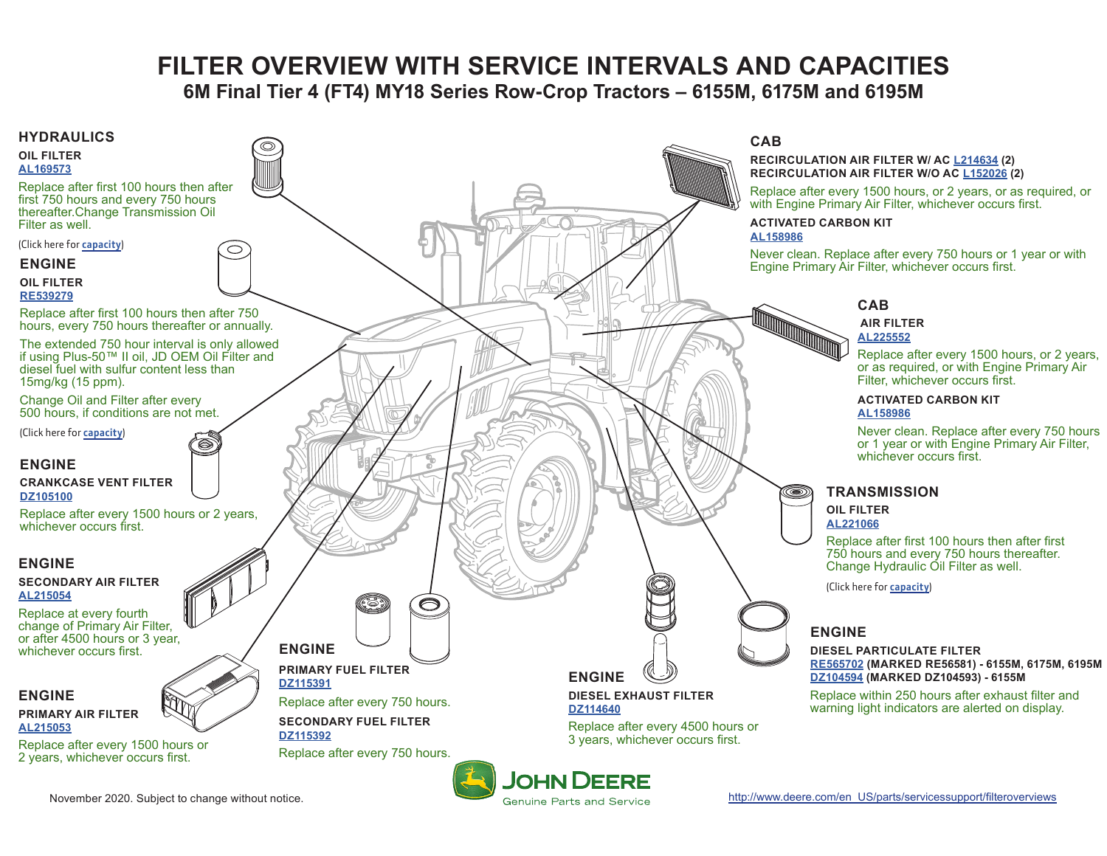# **FILTER OVERVIEW WITH SERVICE INTERVALS AND CAPACITIES**

**6M Final Tier 4 (FT4) MY18 Series Row-Crop Tractors – 6155M, 6175M and 6195M**

<span id="page-0-0"></span>